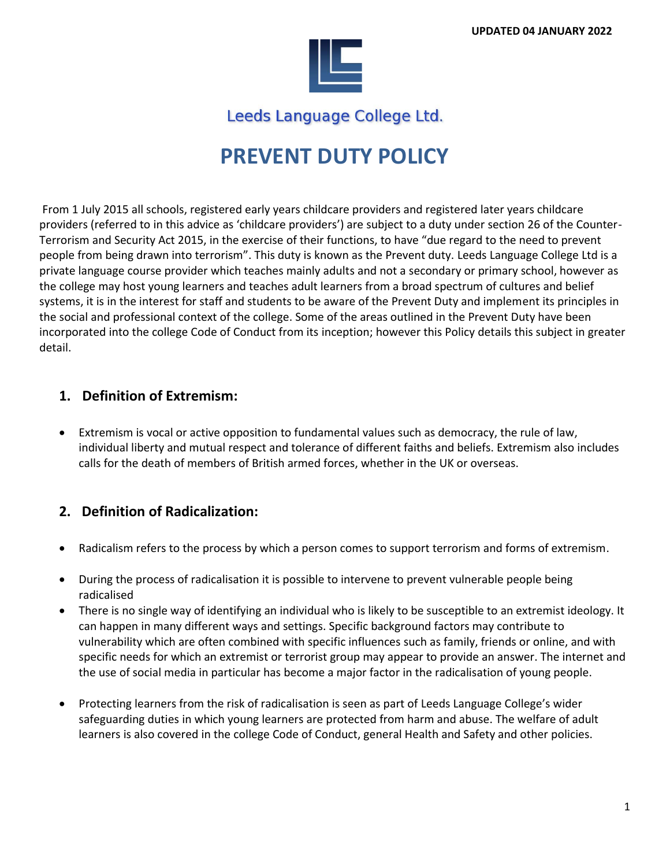

Leeds Language College Ltd.

# **PREVENT DUTY POLICY**

From 1 July 2015 all schools, registered early years childcare providers and registered later years childcare providers (referred to in this advice as 'childcare providers') are subject to a duty under section 26 of the Counter-Terrorism and Security Act 2015, in the exercise of their functions, to have "due regard to the need to prevent people from being drawn into terrorism". This duty is known as the Prevent duty. Leeds Language College Ltd is a private language course provider which teaches mainly adults and not a secondary or primary school, however as the college may host young learners and teaches adult learners from a broad spectrum of cultures and belief systems, it is in the interest for staff and students to be aware of the Prevent Duty and implement its principles in the social and professional context of the college. Some of the areas outlined in the Prevent Duty have been incorporated into the college Code of Conduct from its inception; however this Policy details this subject in greater detail.

### **1. Definition of Extremism:**

• Extremism is vocal or active opposition to fundamental values such as democracy, the rule of law, individual liberty and mutual respect and tolerance of different faiths and beliefs. Extremism also includes calls for the death of members of British armed forces, whether in the UK or overseas.

### **2. Definition of Radicalization:**

- Radicalism refers to the process by which a person comes to support terrorism and forms of extremism.
- During the process of radicalisation it is possible to intervene to prevent vulnerable people being radicalised
- There is no single way of identifying an individual who is likely to be susceptible to an extremist ideology. It can happen in many different ways and settings. Specific background factors may contribute to vulnerability which are often combined with specific influences such as family, friends or online, and with specific needs for which an extremist or terrorist group may appear to provide an answer. The internet and the use of social media in particular has become a major factor in the radicalisation of young people.
- Protecting learners from the risk of radicalisation is seen as part of Leeds Language College's wider safeguarding duties in which young learners are protected from harm and abuse. The welfare of adult learners is also covered in the college Code of Conduct, general Health and Safety and other policies.